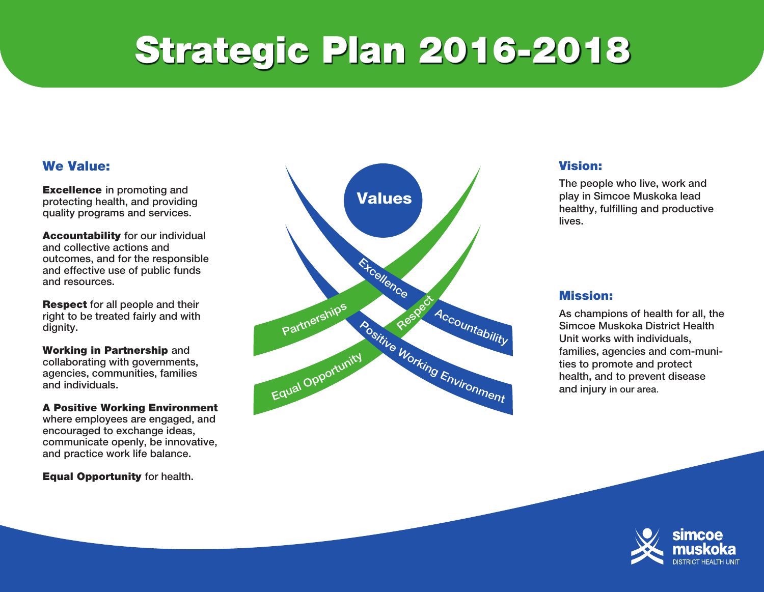# Strategic Plan 2016-2018

#### We Value:

Excellence in promoting and protecting health, and providing quality programs and services.

Accountability for our individual and collective actions and outcomes, and for the responsible and effective use of public funds and resources.

Respect for all people and their right to be treated fairly and with dignity.

Working in Partnership and collaborating with governments, agencies, communities, families and individuals.

A Positive Working Environment where employees are engaged, and encouraged to exchange ideas, communicate openly, be innovative, and practice work life balance.

**Equal Opportunity for health.** 



#### Vision:

The people who live, work and play in Simcoe Muskoka lead healthy, fulfilling and productive lives.

#### Mission:

As champions of health for all, the Simcoe Muskoka District Health Unit works with individuals, families, agencies and com-munities to promote and protect health, and to prevent disease and injury in our area.